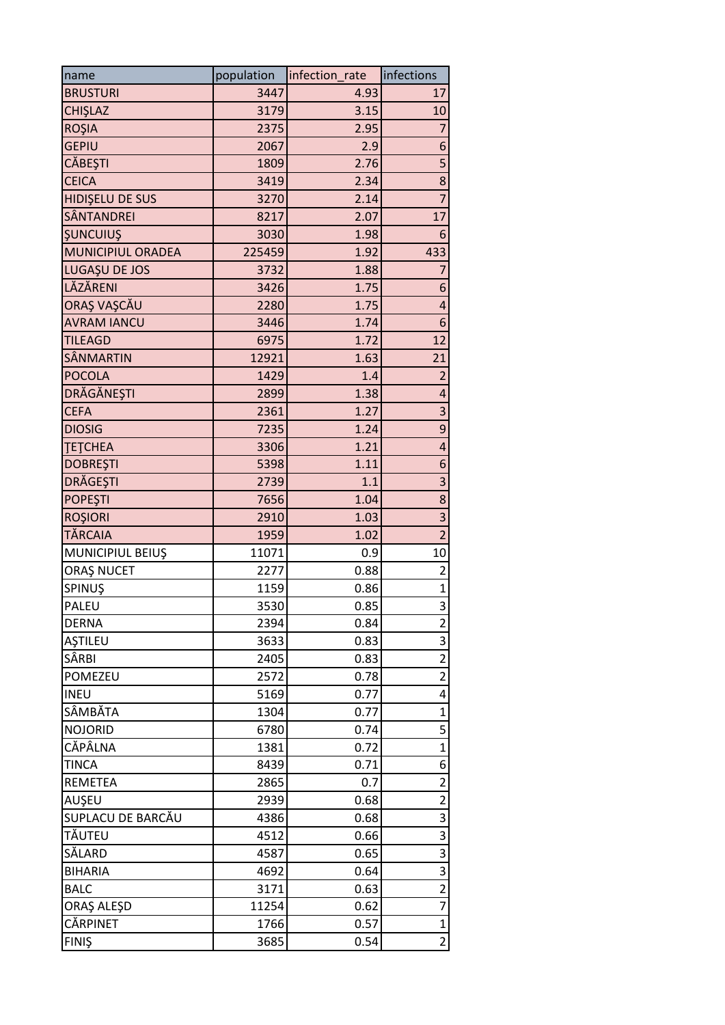| name               | population | infection rate | infections              |
|--------------------|------------|----------------|-------------------------|
| <b>BRUSTURI</b>    | 3447       | 4.93           | 17                      |
| CHIŞLAZ            | 3179       | 3.15           | 10                      |
| <b>ROŞIA</b>       | 2375       | 2.95           | $\overline{7}$          |
| <b>GEPIU</b>       | 2067       | 2.9            | 6                       |
| <b>CĂBEȘTI</b>     | 1809       | 2.76           | $\overline{\mathbf{5}}$ |
| <b>CEICA</b>       | 3419       | 2.34           | 8                       |
| HIDIŞELU DE SUS    | 3270       | 2.14           | $\overline{7}$          |
| <b>SÂNTANDREI</b>  | 8217       | 2.07           | 17                      |
| <b>ŞUNCUIUŞ</b>    | 3030       | 1.98           | 6                       |
| MUNICIPIUL ORADEA  | 225459     | 1.92           | 433                     |
| LUGAȘU DE JOS      | 3732       | 1.88           | $\overline{7}$          |
| LĂZĂRENI           | 3426       | 1.75           | 6                       |
| ORAȘ VAȘCĂU        | 2280       | 1.75           | $\overline{\mathbf{r}}$ |
| <b>AVRAM IANCU</b> | 3446       | 1.74           | 6                       |
| <b>TILEAGD</b>     | 6975       | 1.72           | 12                      |
| SÂNMARTIN          | 12921      | 1.63           | 21                      |
| <b>POCOLA</b>      | 1429       | 1.4            | $\overline{2}$          |
| <b>DRĂGĂNEȘTI</b>  | 2899       | 1.38           | 4                       |
| <b>CEFA</b>        | 2361       | 1.27           | 3                       |
| <b>DIOSIG</b>      | 7235       | 1.24           | 9                       |
| <b>TETCHEA</b>     | 3306       | 1.21           | $\overline{\mathbf{r}}$ |
| <b>DOBREŞTI</b>    | 5398       | 1.11           | 6                       |
| DRĂGEȘTI           | 2739       | 1.1            | 3                       |
| <b>POPEŞTI</b>     | 7656       | 1.04           | 8                       |
| <b>ROŞIORI</b>     | 2910       | 1.03           | 3                       |
| <b>TĂRCAIA</b>     | 1959       | 1.02           | $\overline{c}$          |
| MUNICIPIUL BEIUŞ   | 11071      | 0.9            | 10 <sup>1</sup>         |
| ORAȘ NUCET         | 2277       | 0.88           | $\overline{2}$          |
| <b>SPINUS</b>      | 1159       | 0.86           | $\mathbf{1}$            |
| <b>PALEU</b>       | 3530       | 0.85           | $\overline{3}$          |
| <b>DERNA</b>       | 2394       | 0.84           | $\mathbf 2$             |
| AŞTILEU            | 3633       | 0.83           | 3                       |
| SÂRBI              | 2405       | 0.83           | $\overline{2}$          |
| POMEZEU            | 2572       | 0.78           | $\overline{\mathbf{c}}$ |
| <b>INEU</b>        | 5169       | 0.77           | 4                       |
| SÂMBĂTA            | 1304       | 0.77           | $\mathbf{1}$            |
| <b>NOJORID</b>     | 6780       | 0.74           | 5                       |
| CĂPÂLNA            | 1381       | 0.72           | $\mathbf 1$             |
| <b>TINCA</b>       | 8439       | 0.71           | $6\overline{6}$         |
| <b>REMETEA</b>     | 2865       | 0.7            | $\overline{\mathbf{c}}$ |
| AUŞEU              | 2939       | 0.68           | $\overline{2}$          |
| SUPLACU DE BARCĂU  | 4386       | 0.68           | 3                       |
| TĂUTEU             | 4512       | 0.66           | 3                       |
| SĂLARD             | 4587       | 0.65           | 3                       |
| <b>BIHARIA</b>     | 4692       | 0.64           | 3                       |
| <b>BALC</b>        | 3171       | 0.63           | $\overline{\mathbf{c}}$ |
| ORAȘ ALEȘD         | 11254      | 0.62           | $\overline{7}$          |
| CĂRPINET           | 1766       | 0.57           | $\mathbf{1}$            |
| <b>FINIŞ</b>       | 3685       | 0.54           | $\overline{2}$          |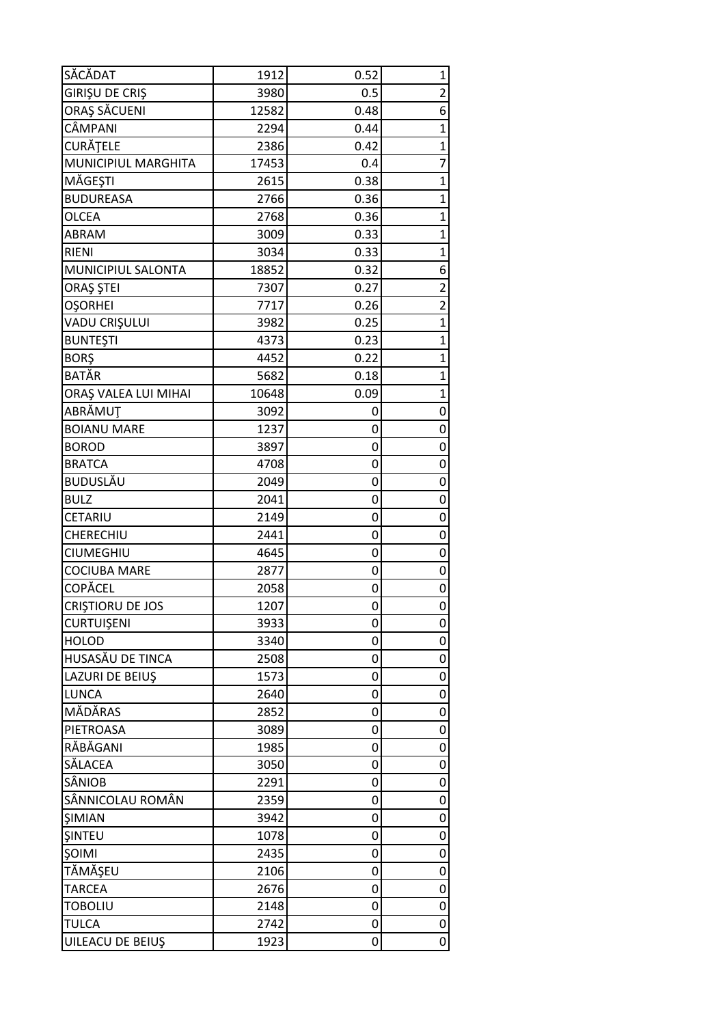| SĂCĂDAT                          | 1912         | 0.52   | $\mathbf 1$             |
|----------------------------------|--------------|--------|-------------------------|
| GIRIŞU DE CRIŞ                   | 3980         | 0.5    | $\overline{2}$          |
| ORAȘ SĂCUENI                     | 12582        | 0.48   | 6                       |
| CÂMPANI                          | 2294         | 0.44   | $\mathbf{1}$            |
| <b>CURĂȚELE</b>                  | 2386         | 0.42   | $\mathbf{1}$            |
| MUNICIPIUL MARGHITA              | 17453        | 0.4    | $\overline{7}$          |
| MĂGEȘTI                          | 2615         | 0.38   | $\overline{1}$          |
| <b>BUDUREASA</b>                 | 2766         | 0.36   | $\overline{1}$          |
| <b>OLCEA</b>                     | 2768         | 0.36   | $\mathbf 1$             |
| <b>ABRAM</b>                     | 3009         | 0.33   | $\mathbf{1}$            |
| <b>RIENI</b>                     | 3034         | 0.33   | $\mathbf{1}$            |
| MUNICIPIUL SALONTA               | 18852        | 0.32   | 6                       |
| ORAȘ ȘTEI                        | 7307         | 0.27   | $\overline{2}$          |
| <b>OŞORHEI</b>                   | 7717         | 0.26   | $\overline{\mathbf{c}}$ |
| VADU CRIŞULUI                    | 3982         | 0.25   | $\overline{1}$          |
| <b>BUNTEŞTI</b>                  | 4373         | 0.23   | $\mathbf 1$             |
| <b>BORŞ</b>                      | 4452         | 0.22   | $\mathbf{1}$            |
| <b>BATĂR</b>                     | 5682         | 0.18   | $\overline{1}$          |
| ORAȘ VALEA LUI MIHAI             | 10648        | 0.09   | $\overline{1}$          |
| ABRĂMUT                          | 3092         | 0      | 0                       |
| <b>BOIANU MARE</b>               | 1237         | 0      | 0                       |
| <b>BOROD</b>                     | 3897         | 0      | 0                       |
| <b>BRATCA</b>                    | 4708         | 0      | 0                       |
| BUDUSLĂU                         | 2049         | 0      | 0                       |
| <b>BULZ</b>                      | 2041         | 0      | 0                       |
| CETARIU                          | 2149         | 0      | 0                       |
| CHERECHIU                        | 2441         | 0      | $\mathbf 0$             |
| <b>CIUMEGHIU</b>                 | 4645         | 0      | 0                       |
| <b>COCIUBA MARE</b>              | 2877         |        | 0                       |
| COPĂCEL                          |              | 0      |                         |
|                                  | 2058<br>1207 | 0<br>0 | 0<br>0                  |
| CRIȘTIORU DE JOS<br>CURTUIŞENI   | 3933         | 0      | 0                       |
|                                  |              |        |                         |
| <b>HOLOD</b><br>HUSASĂU DE TINCA | 3340<br>2508 | 0      | 0<br>0                  |
| LAZURI DE BEIUŞ                  | 1573         | 0      | 0                       |
| LUNCA                            | 2640         | 0<br>0 |                         |
| MĂDĂRAS                          | 2852         | 0      | 0<br>$\mathbf 0$        |
| PIETROASA                        | 3089         | 0      | 0                       |
| RĂBĂGANI                         | 1985         | 0      | 0                       |
| SĂLACEA                          | 3050         | 0      | 0                       |
|                                  |              |        |                         |
| SÂNIOB                           | 2291         | 0      | 0                       |
| SÂNNICOLAU ROMÂN                 | 2359         | 0      | 0                       |
| <b>SIMIAN</b>                    | 3942         | 0      | 0<br>0                  |
| <b>SINTEU</b>                    | 1078         | 0      |                         |
| SOIMI                            | 2435         | 0      | 0                       |
| TĂMĂŞEU                          | 2106         | 0      | $\mathbf 0$             |
| <b>TARCEA</b>                    | 2676         | 0      | 0                       |
| <b>TOBOLIU</b>                   | 2148         | 0      | 0                       |
| <b>TULCA</b>                     | 2742         | 0      | 0                       |
| UILEACU DE BEIUŞ                 | 1923         | 0      | 0                       |